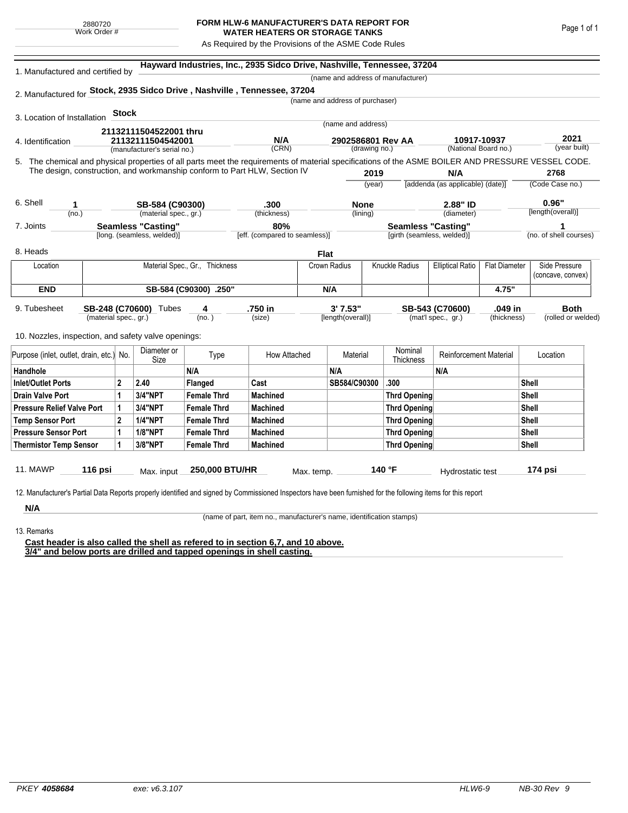## **FORM HLW-6 MANUFACTURER'S DATA REPORT FOR WATER HEATERS OR STORAGE TANKS**

As Required by the Provisions of the ASME Code Rules

| 1. Manufactured and certified by                    |                                                                           |                                |                             |                       | Hayward Industries, Inc., 2935 Sidco Drive, Nashville, Tennessee, 37204                                                                            |              |                                 |                      |                                    |                                  |                      |                        |             |  |  |
|-----------------------------------------------------|---------------------------------------------------------------------------|--------------------------------|-----------------------------|-----------------------|----------------------------------------------------------------------------------------------------------------------------------------------------|--------------|---------------------------------|----------------------|------------------------------------|----------------------------------|----------------------|------------------------|-------------|--|--|
|                                                     |                                                                           |                                |                             |                       |                                                                                                                                                    |              |                                 |                      | (name and address of manufacturer) |                                  |                      |                        |             |  |  |
|                                                     |                                                                           |                                |                             |                       | 2. Manufactured for Stock, 2935 Sidco Drive, Nashville, Tennessee, 37204                                                                           |              |                                 |                      |                                    |                                  |                      |                        |             |  |  |
|                                                     |                                                                           |                                |                             |                       |                                                                                                                                                    |              | (name and address of purchaser) |                      |                                    |                                  |                      |                        |             |  |  |
| 3. Location of Installation                         |                                                                           | <b>Stock</b>                   |                             |                       |                                                                                                                                                    |              |                                 |                      |                                    |                                  |                      |                        |             |  |  |
|                                                     |                                                                           |                                | 21132111504522001 thru      |                       |                                                                                                                                                    |              | (name and address)              |                      |                                    |                                  |                      |                        |             |  |  |
| 4. Identification                                   |                                                                           |                                | 21132111504542001           |                       | N/A                                                                                                                                                |              | 2902586801 Rev AA               |                      |                                    | 10917-10937                      |                      | 2021                   |             |  |  |
|                                                     |                                                                           |                                | (manufacturer's serial no.) |                       | (CRN)                                                                                                                                              |              | (drawing no.)                   |                      |                                    |                                  | (National Board no.) | (year built)           |             |  |  |
|                                                     |                                                                           |                                |                             |                       | 5. The chemical and physical properties of all parts meet the requirements of material specifications of the ASME BOILER AND PRESSURE VESSEL CODE. |              |                                 |                      |                                    |                                  |                      |                        |             |  |  |
|                                                     | The design, construction, and workmanship conform to Part HLW, Section IV |                                |                             |                       |                                                                                                                                                    |              | 2019                            |                      | N/A                                |                                  |                      | 2768                   |             |  |  |
|                                                     |                                                                           |                                |                             |                       |                                                                                                                                                    |              |                                 | (year)               |                                    | [addenda (as applicable) (date)] |                      | (Code Case no.)        |             |  |  |
| 6. Shell                                            | 1                                                                         |                                | SB-584 (C90300)             |                       | .300                                                                                                                                               |              | <b>None</b>                     |                      |                                    | 2.88" ID                         |                      | 0.96"                  |             |  |  |
|                                                     | (no.)                                                                     |                                | (material spec., gr.)       |                       | (thickness)                                                                                                                                        |              | (lining)                        |                      |                                    | (diameter)                       |                      | [length(overall)]      |             |  |  |
| 7. Joints                                           |                                                                           |                                | Seamless "Casting"          |                       | 80%                                                                                                                                                |              |                                 |                      | <b>Seamless "Casting"</b>          |                                  |                      | (no. of shell courses) |             |  |  |
|                                                     |                                                                           |                                | [long. (seamless, welded)]  |                       | [eff. (compared to seamless)]                                                                                                                      |              |                                 |                      | [girth (seamless, welded)]         |                                  |                      |                        |             |  |  |
| 8. Heads                                            |                                                                           |                                |                             |                       |                                                                                                                                                    | <b>Flat</b>  |                                 |                      |                                    |                                  |                      |                        |             |  |  |
| Location                                            |                                                                           | Material Spec., Gr., Thickness |                             |                       |                                                                                                                                                    | Crown Radius |                                 | Knuckle Radius       |                                    | <b>Elliptical Ratio</b>          | <b>Flat Diameter</b> | Side Pressure          |             |  |  |
|                                                     |                                                                           |                                |                             |                       |                                                                                                                                                    |              |                                 |                      |                                    |                                  |                      | (concave, convex)      |             |  |  |
| <b>END</b>                                          |                                                                           |                                |                             | SB-584 (C90300) .250" |                                                                                                                                                    | N/A          |                                 |                      |                                    | 4.75"                            |                      |                        |             |  |  |
| 9. Tubesheet                                        |                                                                           |                                | SB-248 (C70600) Tubes       | 4                     | .750 in                                                                                                                                            |              | 3'7.53"                         |                      |                                    | SB-543 (C70600)                  | .049 in              |                        | <b>Both</b> |  |  |
|                                                     | (material spec., gr.)                                                     |                                |                             | (no. )                | (size)                                                                                                                                             |              | [length(overall)]               |                      |                                    | (mat'l spec., gr.)               | (thickness)          | (rolled or welded)     |             |  |  |
| 10. Nozzles, inspection, and safety valve openings: |                                                                           |                                |                             |                       |                                                                                                                                                    |              |                                 |                      |                                    |                                  |                      |                        |             |  |  |
|                                                     |                                                                           |                                |                             |                       |                                                                                                                                                    |              |                                 |                      |                                    |                                  |                      |                        |             |  |  |
| Purpose (inlet, outlet, drain, etc.) No.            |                                                                           | Diameter or<br>Size            | Type                        | How Attached          |                                                                                                                                                    | Material     |                                 | Nominal<br>Thickness | <b>Reinforcement Material</b>      |                                  | Location             |                        |             |  |  |
| Handhole                                            |                                                                           |                                |                             | N/A                   |                                                                                                                                                    |              | N/A                             |                      |                                    | N/A                              |                      |                        |             |  |  |
| <b>Inlet/Outlet Ports</b>                           |                                                                           | $\overline{2}$                 | 2.40                        | <b>Flanged</b>        | Cast                                                                                                                                               |              | SB584/C90300                    |                      | .300                               |                                  |                      | <b>Shell</b>           |             |  |  |
| <b>Drain Valve Port</b>                             |                                                                           | 1                              | 3/4"NPT                     | <b>Female Thrd</b>    | <b>Machined</b>                                                                                                                                    |              |                                 |                      | <b>Thrd Opening</b>                |                                  |                      | Shell                  |             |  |  |
| <b>Pressure Relief Valve Port</b>                   |                                                                           | 1                              | 3/4"NPT                     | <b>Female Thrd</b>    | <b>Machined</b>                                                                                                                                    |              |                                 |                      | <b>Thrd Opening</b>                |                                  |                      | <b>Shell</b>           |             |  |  |
| <b>Temp Sensor Port</b>                             |                                                                           | $\mathbf{2}$                   | <b>1/4"NPT</b>              | <b>Female Thrd</b>    | <b>Machined</b>                                                                                                                                    |              |                                 | <b>Thrd Opening</b>  |                                    |                                  |                      | <b>Shell</b>           |             |  |  |
| <b>Pressure Sensor Port</b>                         |                                                                           | 1                              | <b>1/8"NPT</b>              | <b>Female Thrd</b>    | <b>Machined</b>                                                                                                                                    |              |                                 |                      | <b>Thrd Opening</b>                |                                  |                      | <b>Shell</b>           |             |  |  |
| <b>Thermistor Temp Sensor</b>                       |                                                                           | 1                              | 3/8"NPT                     | <b>Female Thrd</b>    | <b>Machined</b>                                                                                                                                    |              |                                 |                      | <b>Thrd Opening</b>                |                                  |                      | <b>Shell</b>           |             |  |  |
|                                                     |                                                                           |                                |                             |                       |                                                                                                                                                    |              |                                 |                      |                                    |                                  |                      |                        |             |  |  |
| <b>11. MAWP</b>                                     | 116 psi                                                                   |                                | Max. input                  | 250,000 BTU/HR        |                                                                                                                                                    | Max. temp.   |                                 |                      | 140 °F                             | Hydrostatic test                 |                      | 174 psi                |             |  |  |

**N/A**

(name of part, item no., manufacturer's name, identification stamps)

13. Remarks

**Cast header is also called the shell as refered to in section 6,7, and 10 above. 3/4" and below ports are drilled and tapped openings in shell casting.**